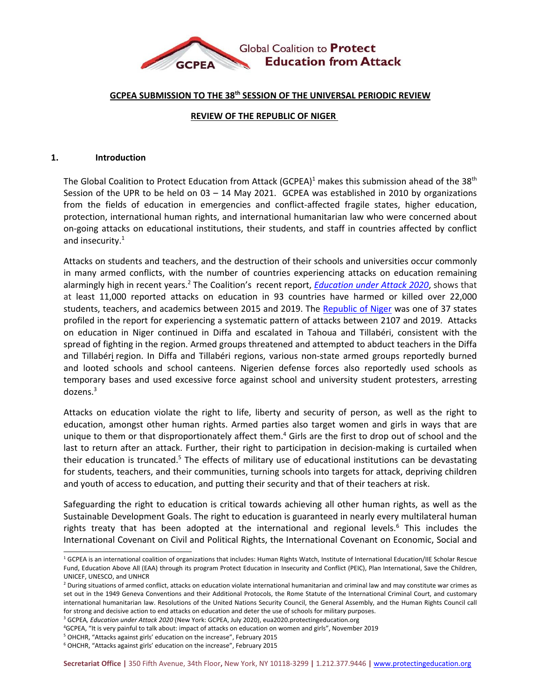

### **GCPEA SUBMISSION TO THE 38th SESSION OF THE UNIVERSAL PERIODIC REVIEW**

## **REVIEW OF THE REPUBLIC OF NIGER**

#### **1. Introduction**

The Global Coalition to Protect Education from Attack (GCPEA)<sup>1</sup> makes this submission ahead of the 38<sup>th</sup> Session of the UPR to be held on 03 – 14 May 2021. GCPEA was established in 2010 by organizations from the fields of education in emergencies and conflict-affected fragile states, higher education, protection, international human rights, and international humanitarian law who were concerned about on-going attacks on educational institutions, their students, and staff in countries affected by conflict and insecurity. $^1$ 

Attacks on students and teachers, and the destruction of their schools and universities occur commonly in many armed conflicts, with the number of countries experiencing attacks on education remaining alarmingly high in recent years.<sup>2</sup> The Coalition's recent report, *[Education](http://protectingeducation.org/wp-content/uploads/eua_2020_full.pdf) under Attack 2020*, shows that at least 11,000 reported attacks on education in 93 countries have harmed or killed over 22,000 students, teachers, and academics between 2015 and 2019. The [Republic](http://protectingeducation.org/wp-content/uploads/eua_2020_niger.pdf) of Niger was one of 37 states profiled in the report for experiencing <sup>a</sup> systematic pattern of attacks between 2107 and 2019. Attacks on education in Niger continued in Diffa and escalated in Tahoua and Tillabéri, consistent with the spread of fighting in the region. Armed groups threatened and attempted to abduct teachers in the Diffa and Tillabéri region. In Diffa and Tillabéri regions, various non-state armed groups reportedly burned and looted schools and school canteens. Nigerien defense forces also reportedly used schools as temporary bases and used excessive force against school and university student protesters, arresting dozens.<sup>3</sup>

Attacks on education violate the right to life, liberty and security of person, as well as the right to education, amongst other human rights. Armed parties also target women and girls in ways that are unique to them or that disproportionately affect them.<sup>4</sup> Girls are the first to drop out of school and the last to return after an attack. Further, their right to participation in decision-making is curtailed when their education is truncated.<sup>5</sup> The effects of military use of educational institutions can be devastating for students, teachers, and their communities, turning schools into targets for attack, depriving children and youth of access to education, and putting their security and that of their teachers at risk.

Safeguarding the right to education is critical towards achieving all other human rights, as well as the Sustainable Development Goals. The right to education is guaranteed in nearly every multilateral human rights treaty that has been adopted at the international and regional levels.<sup>6</sup> This includes the International Covenant on Civil and Political Rights, the International Covenant on Economic, Social and

<sup>&</sup>lt;sup>1</sup> GCPEA is an international coalition of organizations that includes: Human Rights Watch, Institute of International Education/IIE Scholar Rescue Fund, Education Above All (EAA) through its program Protect Education in Insecurity and Conflict (PEIC), Plan International, Save the Children, UNICEF, UNESCO, and UNHCR

<sup>&</sup>lt;sup>2</sup> During situations of armed conflict, attacks on education violate international humanitarian and criminal law and may constitute war crimes as set out in the 1949 Geneva Conventions and their Additional Protocols, the Rome Statute of the International Criminal Court, and customary international humanitarian law. Resolutions of the United Nations Security Council, the General Assembly, and the Human Rights Council call for strong and decisive action to end attacks on education and deter the use of schools for military purposes.

<sup>3</sup> GCPEA*, Education under Attack 2020* (New York: GCPEA, July 2020), eua2020.protectingeducation.org

<sup>4</sup> GCPEA, "It is very painful to talk about: impact of attacks on education on women and girls", November 2019

<sup>5</sup> OHCHR, "Attacks against girls' education on the increase", February 2015

<sup>6</sup> OHCHR, "Attacks against girls' education on the increase", February 2015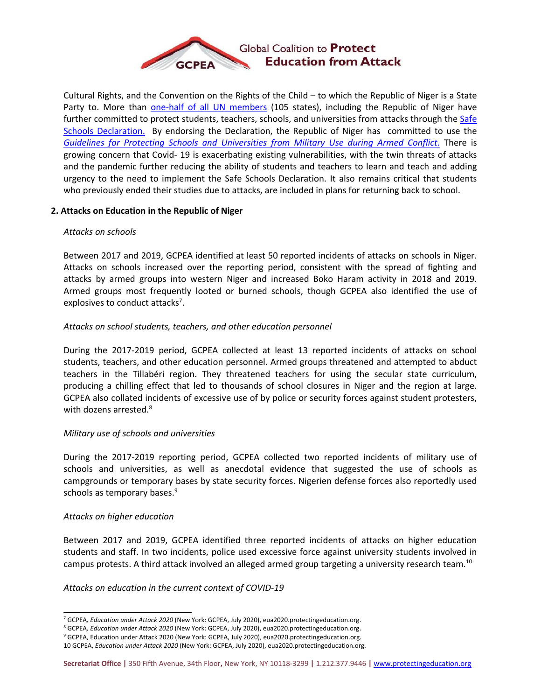

Cultural Rights, and the Convention on the Rights of the Child – to which the Republic of Niger is <sup>a</sup> State Party to. More than one-half of all UN [members](https://ssd.protectingeducation.org/endorsement/) (105 states), including the Republic of Niger have further committed to protect students, teachers, schools, and universities from attacks through the [Safe](http://www.protectingeducation.org/sites/default/files/documents/safe_schools_declaration-final.pdf) Schools [Declaration.](http://www.protectingeducation.org/sites/default/files/documents/safe_schools_declaration-final.pdf) By endorsing the Declaration, the Republic of Niger has committed to use the *Guidelines for [Protecting](http://protectingeducation.org/sites/default/files/documents/guidelines_en.pdf) Schools and Universities from Military Use during Armed Conflict*. There is growing concern that Covid- 19 is exacerbating existing vulnerabilities, with the twin threats of attacks and the pandemic further reducing the ability of students and teachers to learn and teach and adding urgency to the need to implement the Safe Schools Declaration. It also remains critical that students who previously ended their studies due to attacks, are included in plans for returning back to school.

## **2. Attacks on Education in the Republic of Niger**

## *Attacks on schools*

Between 2017 and 2019, GCPEA identified at least 50 reported incidents of attacks on schools in Niger. Attacks on schools increased over the reporting period, consistent with the spread of fighting and attacks by armed groups into western Niger and increased Boko Haram activity in 2018 and 2019. Armed groups most frequently looted or burned schools, though GCPEA also identified the use of explosives to conduct attacks<sup>7</sup>.

## *Attacks on school students, teachers, and other education personnel*

During the 2017-2019 period, GCPEA collected at least 13 reported incidents of attacks on school students, teachers, and other education personnel. Armed groups threatened and attempted to abduct teachers in the Tillabéri region. They threatened teachers for using the secular state curriculum, producing <sup>a</sup> chilling effect that led to thousands of school closures in Niger and the region at large. GCPEA also collated incidents of excessive use of by police or security forces against student protesters, with dozens arrested. 8

#### *Military use of schools and universities*

During the 2017-2019 reporting period, GCPEA collected two reported incidents of military use of schools and universities, as well as anecdotal evidence that suggested the use of schools as campgrounds or temporary bases by state security forces. Nigerien defense forces also reportedly used schools as temporary bases. 9

#### *Attacks on higher education*

Between 2017 and 2019, GCPEA identified three reported incidents of attacks on higher education students and staff. In two incidents, police used excessive force against university students involved in campus protests. A third attack involved an alleged armed group targeting a university research team.<sup>10</sup>

#### *Attacks on education in the current context of COVID-19*

<sup>7</sup> GCPEA*, Education under Attack 2020* (New York: GCPEA, July 2020), eua2020.protectingeducation.org.

<sup>8</sup> GCPEA*, Education under Attack 2020* (New York: GCPEA, July 2020), eua2020.protectingeducation.org.

<sup>&</sup>lt;sup>9</sup> GCPEA, Education under Attack 2020 (New York: GCPEA, July 2020), eua2020.protectingeducation.org.

<sup>10</sup> GCPEA, *Education under Attack 2020* (New York: GCPEA, July 2020), eua2020.protectingeducation.org.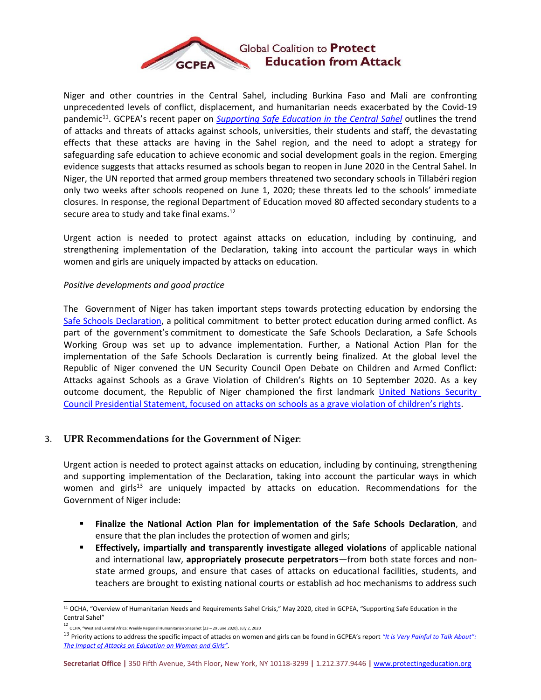

Niger and other countries in the Central Sahel, including Burkina Faso and Mali are confronting unprecedented levels of conflict, displacement, and humanitarian needs exacerbated by the Covid-19 pandemic 11 . GCPEA'<sup>s</sup> recent paper on *[Supporting](https://protectingeducation.org/wp-content/uploads/Central-Sahel-Paper-English.pdf) Safe Education in the Central Sahel* outlines the trend of attacks and threats of attacks against schools, universities, their students and staff, the devastating effects that these attacks are having in the Sahel region, and the need to adopt <sup>a</sup> strategy for safeguarding safe education to achieve economic and social development goals in the region. Emerging evidence suggests that attacks resumed as schools began to reopen in June 2020 in the Central Sahel. In Niger, the UN reported that armed group members threatened two secondary schools in Tillabéri region only two weeks after schools reopened on June 1, 2020; these threats led to the schools' immediate closures. In response, the regional Department of Education moved 80 affected secondary students to <sup>a</sup> secure area to study and take final exams.<sup>12</sup>

Urgent action is needed to protect against attacks on education, including by continuing, and strengthening implementation of the Declaration, taking into account the particular ways in which women and girls are uniquely impacted by attacks on education.

# *Positive developments and good practice*

The Government of Niger has taken important steps towards protecting education by endorsing the Safe Schools [Declaration,](https://www.regjeringen.no/globalassets/departementene/ud/vedlegg/utvikling/safe_schools_declaration.pdf) <sup>a</sup> political commitment to better protect education during armed conflict. As part of the government'<sup>s</sup> commitment to domesticate the Safe Schools Declaration, <sup>a</sup> Safe Schools Working Group was set up to advance implementation. Further, <sup>a</sup> National Action Plan for the implementation of the Safe Schools Declaration is currently being finalized. At the global level the Republic of Niger convened the UN Security Council Open Debate on Children and Armed Conflict: Attacks against Schools as <sup>a</sup> Grave Violation of Children'<sup>s</sup> Rights on 10 September 2020. As <sup>a</sup> key outcome document, the Republic of Niger championed the first landmark United Nations [Security](https://news.un.org/en/story/2020/09/1072102) Council Presidential [Statement,](https://news.un.org/en/story/2020/09/1072102) focused on attacks on schools as <sup>a</sup> grave violation of children'<sup>s</sup> rights.

# 3. **UPR Recommendations for the Government of Niger**:

Urgent action is needed to protect against attacks on education, including by continuing, strengthening and supporting implementation of the Declaration, taking into account the particular ways in which women and girls<sup>13</sup> are uniquely impacted by attacks on education. Recommendations for the Government of Niger include:

- $\blacksquare$  **Finalize the National Action Plan for implementation of the Safe Schools Declaration**, and ensure that the plan includes the protection of women and girls;
- Г **Effectively, impartially and transparently investigate alleged violations** of applicable national and international law, **appropriately prosecute perpetrators**—from both state forces and nonstate armed groups, and ensure that cases of attacks on educational facilities, students, and teachers are brought to existing national courts or establish ad hoc mechanisms to address such

<sup>&</sup>lt;sup>11</sup> OCHA, "Overview of Humanitarian Needs and Requirements Sahel Crisis," May 2020, cited in GCPEA, "Supporting Safe Education in the Central Sahel"

<sup>12</sup> OCHA, "West and Central Africa: Weekly Regional Humanitarian Snapshot (23 – 29 June 2020), July 2, 2020

<sup>13</sup> Priority actions to address the specific impact of attacks on women and girls can be found in GCPEA'<sup>s</sup> report *"It is Very [Painful](http://protectingeducation.org/wp-content/uploads/documents/documents_impact_of_attacks_on_education_nov_2019_lowres_webspreads.pdf) to Talk About": The Impact of Attacks on [Education](http://protectingeducation.org/wp-content/uploads/documents/documents_impact_of_attacks_on_education_nov_2019_lowres_webspreads.pdf) on Women and Girls".*